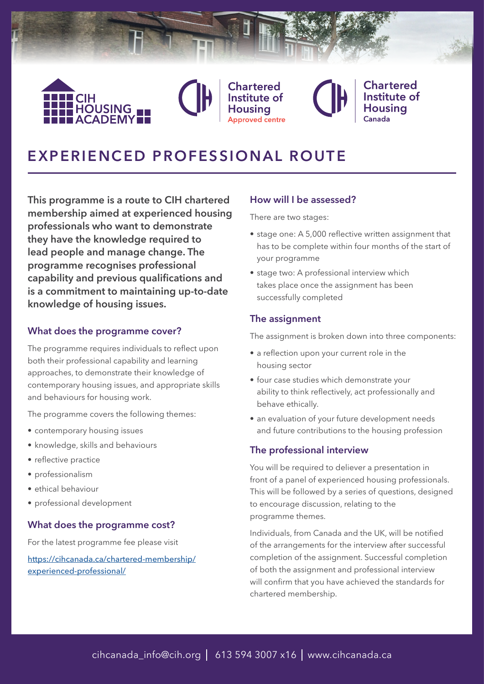

Chartered Institute of Housina

# **Chartered** Institute of Housina

# **EXPERIENCED PROFESSIONAL ROUTE**

**This programme is a route to CIH chartered membership aimed at experienced housing professionals who want to demonstrate they have the knowledge required to lead people and manage change. The programme recognises professional capability and previous qualifications and is a commitment to maintaining up-to-date knowledge of housing issues.**

### **What does the programme cover?**

The programme requires individuals to reflect upon both their professional capability and learning approaches, to demonstrate their knowledge of contemporary housing issues, and appropriate skills and behaviours for housing work.

The programme covers the following themes:

- contemporary housing issues
- knowledge, skills and behaviours
- reflective practice
- professionalism
- ethical behaviour
- professional development

#### **What does the programme cost?**

For the latest programme fee please visit

[https://cihcanada.ca/chartered-membership/](https://cihcanada.ca/chartered-membership/experienced-professional/) [experienced-professional/](https://cihcanada.ca/chartered-membership/experienced-professional/)

#### **How will I be assessed?**

There are two stages:

- stage one: A 5,000 reflective written assignment that has to be complete within four months of the start of your programme
- stage two: A professional interview which takes place once the assignment has been successfully completed

#### **The assignment**

The assignment is broken down into three components:

- a reflection upon your current role in the housing sector
- four case studies which demonstrate your ability to think reflectively, act professionally and behave ethically.
- an evaluation of your future development needs and future contributions to the housing profession

#### **The professional interview**

You will be required to deliever a presentation in front of a panel of experienced housing professionals. This will be followed by a series of questions, designed to encourage discussion, relating to the programme themes.

Individuals, from Canada and the UK, will be notified of the arrangements for the interview after successful completion of the assignment. Successful completion of both the assignment and professional interview will confirm that you have achieved the standards for chartered membership.